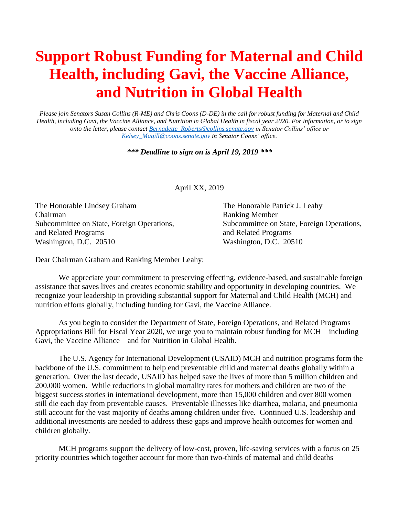## **Support Robust Funding for Maternal and Child Health, including Gavi, the Vaccine Alliance, and Nutrition in Global Health**

*Please join Senators Susan Collins (R-ME) and Chris Coons (D-DE) in the call for robust funding for Maternal and Child Health, including Gavi, the Vaccine Alliance, and Nutrition in Global Health in fiscal year 2020. For information, or to sign onto the letter, please contact [Bernadette\\_Roberts@collins.senate.gov](mailto:Bernadette_Roberts@collins.senate.gov) in Senator Collins' office or [Kelsey\\_Magill@coons.senate.gov](mailto:Kelsey_Magill@coons.senate.gov) in Senator Coons' office.*

*\*\*\* Deadline to sign on is April 19, 2019 \*\*\**

April XX, 2019

The Honorable Lindsey Graham The Honorable Patrick J. Leahy Chairman Ranking Member and Related Programs and Related Programs Washington, D.C. 20510 Washington, D.C. 20510

Subcommittee on State, Foreign Operations, Subcommittee on State, Foreign Operations,

Dear Chairman Graham and Ranking Member Leahy:

We appreciate your commitment to preserving effecting, evidence-based, and sustainable foreign assistance that saves lives and creates economic stability and opportunity in developing countries. We recognize your leadership in providing substantial support for Maternal and Child Health (MCH) and nutrition efforts globally, including funding for Gavi, the Vaccine Alliance.

As you begin to consider the Department of State, Foreign Operations, and Related Programs Appropriations Bill for Fiscal Year 2020, we urge you to maintain robust funding for MCH—including Gavi, the Vaccine Alliance—and for Nutrition in Global Health.

The U.S. Agency for International Development (USAID) MCH and nutrition programs form the backbone of the U.S. commitment to help end preventable child and maternal deaths globally within a generation. Over the last decade, USAID has helped save the lives of more than 5 million children and 200,000 women. While reductions in global mortality rates for mothers and children are two of the biggest success stories in international development, more than 15,000 children and over 800 women still die each day from preventable causes. Preventable illnesses like diarrhea, malaria, and pneumonia still account for the vast majority of deaths among children under five. Continued U.S. leadership and additional investments are needed to address these gaps and improve health outcomes for women and children globally.

MCH programs support the delivery of low-cost, proven, life-saving services with a focus on 25 priority countries which together account for more than two-thirds of maternal and child deaths